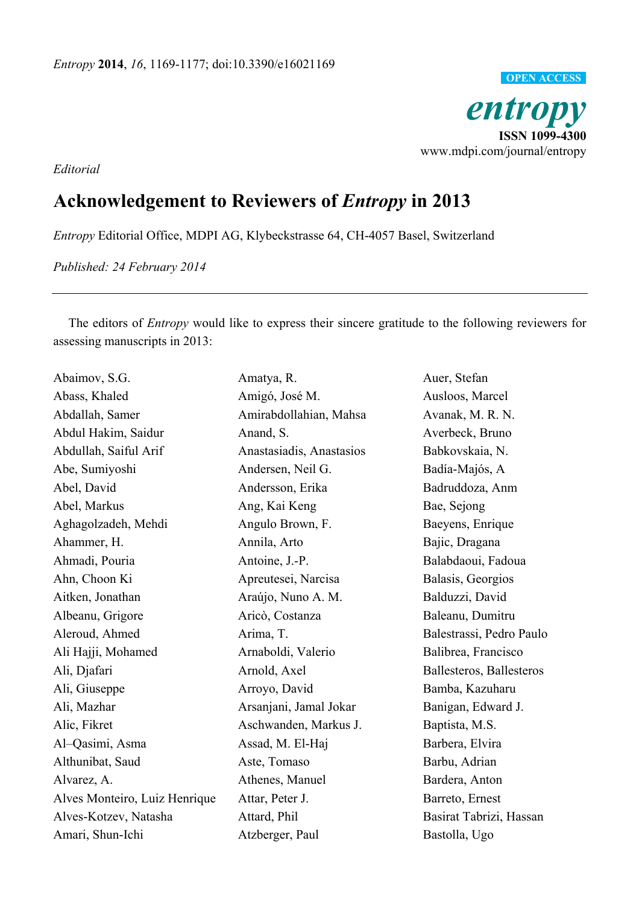

*Editorial* 

## **Acknowledgement to Reviewers of** *Entropy* **in 2013**

*Entropy* Editorial Office, MDPI AG, Klybeckstrasse 64, CH-4057 Basel, Switzerland

*Published: 24 February 2014* 

The editors of *Entropy* would like to express their sincere gratitude to the following reviewers for assessing manuscripts in 2013:

| Abaimov, S.G.                 | Amatya, R.               | Auer, Stefan             |
|-------------------------------|--------------------------|--------------------------|
| Abass, Khaled                 | Amigó, José M.           | Ausloos, Marcel          |
| Abdallah, Samer               | Amirabdollahian, Mahsa   | Avanak, M. R. N.         |
| Abdul Hakim, Saidur           | Anand, S.                | Averbeck, Bruno          |
| Abdullah, Saiful Arif         | Anastasiadis, Anastasios | Babkovskaia, N.          |
| Abe, Sumiyoshi                | Andersen, Neil G.        | Badía-Majós, A           |
| Abel, David                   | Andersson, Erika         | Badruddoza, Anm          |
| Abel, Markus                  | Ang, Kai Keng            | Bae, Sejong              |
| Aghagolzadeh, Mehdi           | Angulo Brown, F.         | Baeyens, Enrique         |
| Ahammer, H.                   | Annila, Arto             | Bajic, Dragana           |
| Ahmadi, Pouria                | Antoine, J.-P.           | Balabdaoui, Fadoua       |
| Ahn, Choon Ki                 | Apreutesei, Narcisa      | Balasis, Georgios        |
| Aitken, Jonathan              | Araújo, Nuno A. M.       | Balduzzi, David          |
| Albeanu, Grigore              | Aricò, Costanza          | Baleanu, Dumitru         |
| Aleroud, Ahmed                | Arima, T.                | Balestrassi, Pedro Paulo |
| Ali Hajji, Mohamed            | Arnaboldi, Valerio       | Balibrea, Francisco      |
| Ali, Djafari                  | Arnold, Axel             | Ballesteros, Ballesteros |
| Ali, Giuseppe                 | Arroyo, David            | Bamba, Kazuharu          |
| Ali, Mazhar                   | Arsanjani, Jamal Jokar   | Banigan, Edward J.       |
| Alic, Fikret                  | Aschwanden, Markus J.    | Baptista, M.S.           |
| Al-Qasimi, Asma               | Assad, M. El-Haj         | Barbera, Elvira          |
| Althunibat, Saud              | Aste, Tomaso             | Barbu, Adrian            |
| Alvarez, A.                   | Athenes, Manuel          | Bardera, Anton           |
| Alves Monteiro, Luiz Henrique | Attar, Peter J.          | Barreto, Ernest          |
| Alves-Kotzev, Natasha         | Attard, Phil             | Basirat Tabrizi, Hassan  |
| Amari, Shun-Ichi              | Atzberger, Paul          | Bastolla, Ugo            |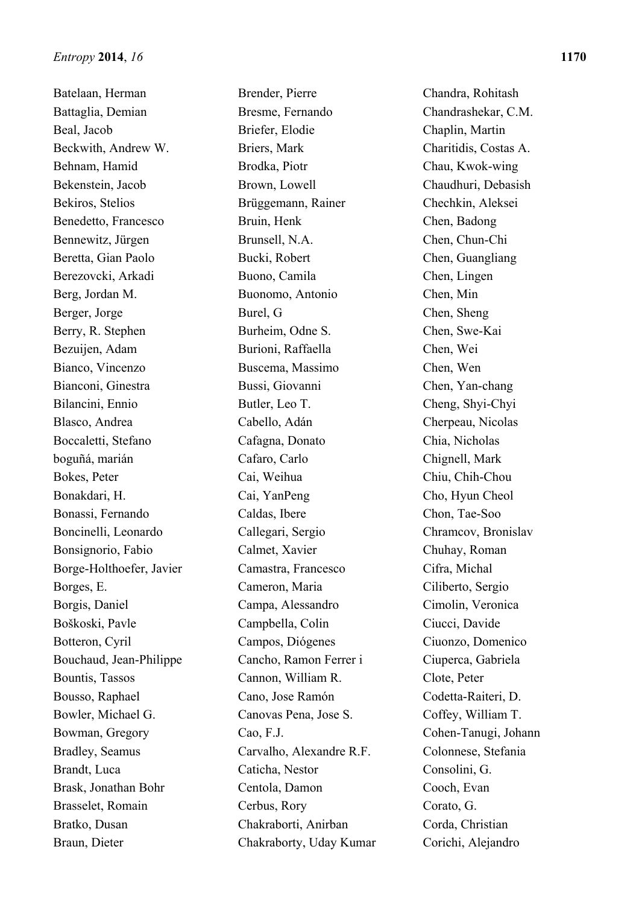Batelaan, Herman Battaglia, Demian Beal, Jacob Beckwith, Andrew W. Behnam, Hamid Bekenstein, Jacob Bekiros, Stelios Benedetto, Francesco Bennewitz, Jürgen Beretta, Gian Paolo Berezovcki, Arkadi Berg, Jordan M. Berger, Jorge Berry, R. Stephen Bezuijen, Adam Bianco, Vincenzo Bianconi, Ginestra Bilancini, Ennio Blasco, Andrea Boccaletti, Stefano boguñá, marián Bokes, Peter Bonakdari, H. Bonassi, Fernando Boncinelli, Leonardo Bonsignorio, Fabio Borge-Holthoefer, Javier Borges, E. Borgis, Daniel Boškoski, Pavle Botteron, Cyril Bouchaud, Jean-Philippe Bountis, Tassos Bousso, Raphael Bowler, Michael G. Bowman, Gregory Bradley, Seamus Brandt, Luca Brask, Jonathan Bohr Brasselet, Romain Bratko, Dusan Braun, Dieter

Brender, Pierre Bresme, Fernando Briefer, Elodie Briers, Mark Brodka, Piotr Brown, Lowell Brüggemann, Rainer Bruin, Henk Brunsell, N.A. Bucki, Robert Buono, Camila Buonomo, Antonio Burel, G Burheim, Odne S. Burioni, Raffaella Buscema, Massimo Bussi, Giovanni Butler, Leo T. Cabello, Adán Cafagna, Donato Cafaro, Carlo Cai, Weihua Cai, YanPeng Caldas, Ibere Callegari, Sergio Calmet, Xavier Camastra, Francesco Cameron, Maria Campa, Alessandro Campbella, Colin Campos, Diógenes Cancho, Ramon Ferrer i Cannon, William R. Cano, Jose Ramón Canovas Pena, Jose S. Cao, F.J. Carvalho, Alexandre R.F. Caticha, Nestor Centola, Damon Cerbus, Rory Chakraborti, Anirban Chakraborty, Uday Kumar

Chandra, Rohitash Chandrashekar, C.M. Chaplin, Martin Charitidis, Costas A. Chau, Kwok-wing Chaudhuri, Debasish Chechkin, Aleksei Chen, Badong Chen, Chun-Chi Chen, Guangliang Chen, Lingen Chen, Min Chen, Sheng Chen, Swe-Kai Chen, Wei Chen, Wen Chen, Yan-chang Cheng, Shyi-Chyi Cherpeau, Nicolas Chia, Nicholas Chignell, Mark Chiu, Chih-Chou Cho, Hyun Cheol Chon, Tae-Soo Chramcov, Bronislav Chuhay, Roman Cifra, Michal Ciliberto, Sergio Cimolin, Veronica Ciucci, Davide Ciuonzo, Domenico Ciuperca, Gabriela Clote, Peter Codetta-Raiteri, D. Coffey, William T. Cohen-Tanugi, Johann Colonnese, Stefania Consolini, G. Cooch, Evan Corato, G. Corda, Christian Corichi, Alejandro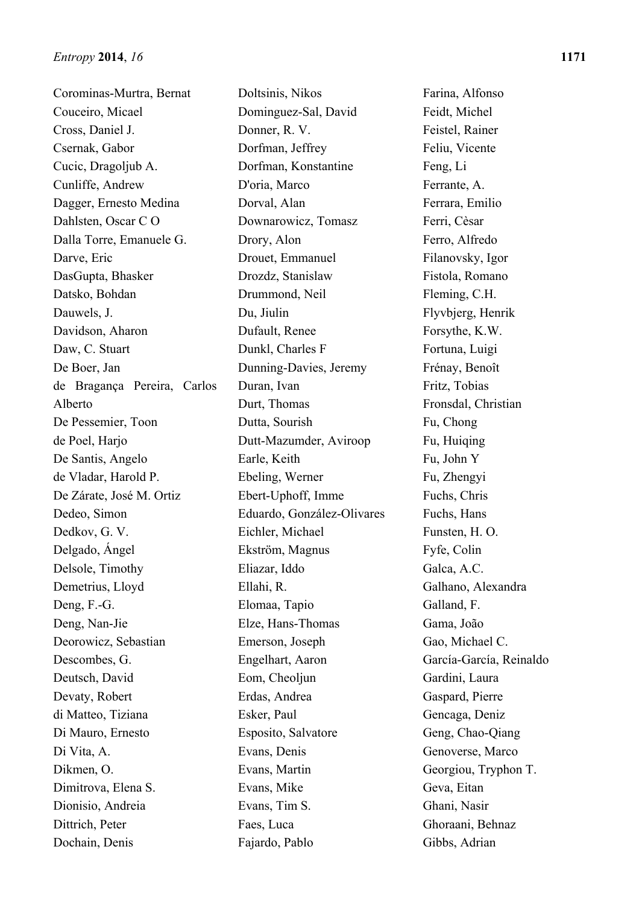Corominas-Murtra, Bernat Couceiro, Micael Cross, Daniel J. Csernak, Gabor Cucic, Dragoljub A. Cunliffe, Andrew Dagger, Ernesto Medina Dahlsten, Oscar C O Dalla Torre, Emanuele G. Darve, Eric DasGupta, Bhasker Datsko, Bohdan Dauwels, J. Davidson, Aharon Daw, C. Stuart De Boer, Jan de Bragança Pereira, Carlos Alberto De Pessemier, Toon de Poel, Harjo De Santis, Angelo de Vladar, Harold P. De Zárate, José M. Ortiz Dedeo, Simon Dedkov, G. V. Delgado, Ángel Delsole, Timothy Demetrius, Lloyd Deng, F.-G. Deng, Nan-Jie Deorowicz, Sebastian Descombes, G. Deutsch, David Devaty, Robert di Matteo, Tiziana Di Mauro, Ernesto Di Vita, A. Dikmen, O. Dimitrova, Elena S. Dionisio, Andreia Dittrich, Peter Dochain, Denis

Doltsinis, Nikos Dominguez-Sal, David Donner, R. V. Dorfman, Jeffrey Dorfman, Konstantine D'oria, Marco Dorval, Alan Downarowicz, Tomasz Drory, Alon Drouet, Emmanuel Drozdz, Stanislaw Drummond, Neil Du, Jiulin Dufault, Renee Dunkl, Charles F Dunning-Davies, Jeremy Duran, Ivan Durt, Thomas Dutta, Sourish Dutt-Mazumder, Aviroop Earle, Keith Ebeling, Werner Ebert-Uphoff, Imme Eduardo, González-Olivares Eichler, Michael Ekström, Magnus Eliazar, Iddo Ellahi, R. Elomaa, Tapio Elze, Hans-Thomas Emerson, Joseph Engelhart, Aaron Eom, Cheoljun Erdas, Andrea Esker, Paul Esposito, Salvatore Evans, Denis Evans, Martin Evans, Mike Evans, Tim S. Faes, Luca Fajardo, Pablo

Farina, Alfonso Feidt, Michel Feistel, Rainer Feliu, Vicente Feng, Li Ferrante, A. Ferrara, Emilio Ferri, Cèsar Ferro, Alfredo Filanovsky, Igor Fistola, Romano Fleming, C.H. Flyvbjerg, Henrik Forsythe, K.W. Fortuna, Luigi Frénay, Benoît Fritz, Tobias Fronsdal, Christian Fu, Chong Fu, Huiqing Fu, John Y Fu, Zhengyi Fuchs, Chris Fuchs, Hans Funsten, H. O. Fyfe, Colin Galca, A.C. Galhano, Alexandra Galland, F. Gama, João Gao, Michael C. García-García, Reinaldo Gardini, Laura Gaspard, Pierre Gencaga, Deniz Geng, Chao-Qiang Genoverse, Marco Georgiou, Tryphon T. Geva, Eitan Ghani, Nasir Ghoraani, Behnaz Gibbs, Adrian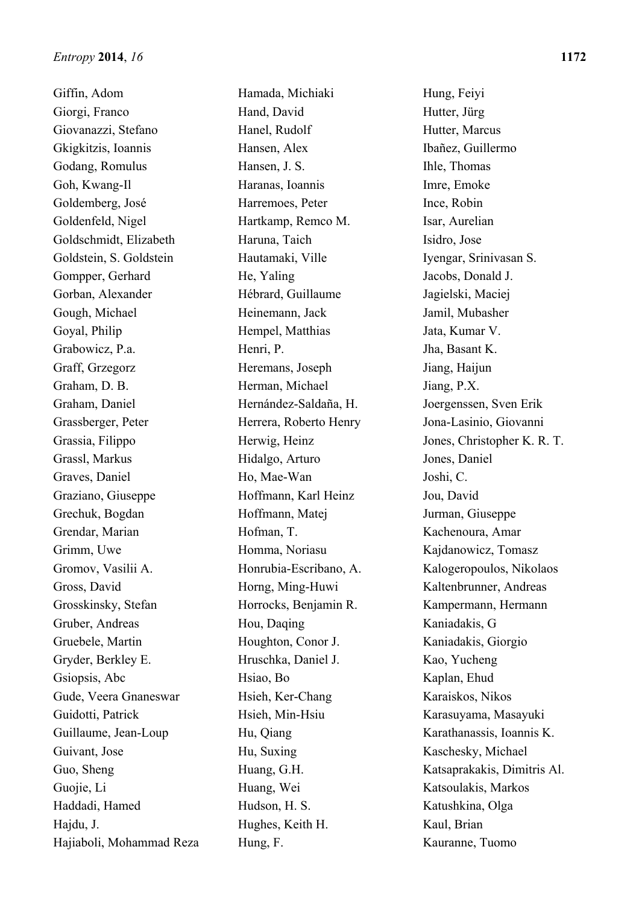Giffin, Adom Giorgi, Franco Giovanazzi, Stefano Gkigkitzis, Ioannis Godang, Romulus Goh, Kwang-Il Goldemberg, José Goldenfeld, Nigel Goldschmidt, Elizabeth Goldstein, S. Goldstein Gompper, Gerhard Gorban, Alexander Gough, Michael Goyal, Philip Grabowicz, P.a. Graff, Grzegorz Graham, D. B. Graham, Daniel Grassberger, Peter Grassia, Filippo Grassl, Markus Graves, Daniel Graziano, Giuseppe Grechuk, Bogdan Grendar, Marian Grimm, Uwe Gromov, Vasilii A. Gross, David Grosskinsky, Stefan Gruber, Andreas Gruebele, Martin Gryder, Berkley E. Gsiopsis, Abc Gude, Veera Gnaneswar Guidotti, Patrick Guillaume, Jean-Loup Guivant, Jose Guo, Sheng Guojie, Li Haddadi, Hamed Hajdu, J. Hajiaboli, Mohammad Reza

Hamada, Michiaki Hand, David Hanel, Rudolf Hansen, Alex Hansen, J. S. Haranas, Ioannis Harremoes, Peter Hartkamp, Remco M. Haruna, Taich Hautamaki, Ville He, Yaling Hébrard, Guillaume Heinemann, Jack Hempel, Matthias Henri, P. Heremans, Joseph Herman, Michael Hernández-Saldaña, H. Herrera, Roberto Henry Herwig, Heinz Hidalgo, Arturo Ho, Mae-Wan Hoffmann, Karl Heinz Hoffmann, Matej Hofman, T. Homma, Noriasu Honrubia-Escribano, A. Horng, Ming-Huwi Horrocks, Benjamin R. Hou, Daqing Houghton, Conor J. Hruschka, Daniel J. Hsiao, Bo Hsieh, Ker-Chang Hsieh, Min-Hsiu Hu, Qiang Hu, Suxing Huang, G.H. Huang, Wei Hudson, H. S. Hughes, Keith H. Hung, F.

Hung, Feiyi Hutter, Jürg Hutter, Marcus Ibañez, Guillermo Ihle, Thomas Imre, Emoke Ince, Robin Isar, Aurelian Isidro, Jose Iyengar, Srinivasan S. Jacobs, Donald J. Jagielski, Maciej Jamil, Mubasher Jata, Kumar V. Jha, Basant K. Jiang, Haijun Jiang, P.X. Joergenssen, Sven Erik Jona-Lasinio, Giovanni Jones, Christopher K. R. T. Jones, Daniel Joshi, C. Jou, David Jurman, Giuseppe Kachenoura, Amar Kajdanowicz, Tomasz Kalogeropoulos, Nikolaos Kaltenbrunner, Andreas Kampermann, Hermann Kaniadakis, G Kaniadakis, Giorgio Kao, Yucheng Kaplan, Ehud Karaiskos, Nikos Karasuyama, Masayuki Karathanassis, Ioannis K. Kaschesky, Michael Katsaprakakis, Dimitris Al. Katsoulakis, Markos Katushkina, Olga Kaul, Brian Kauranne, Tuomo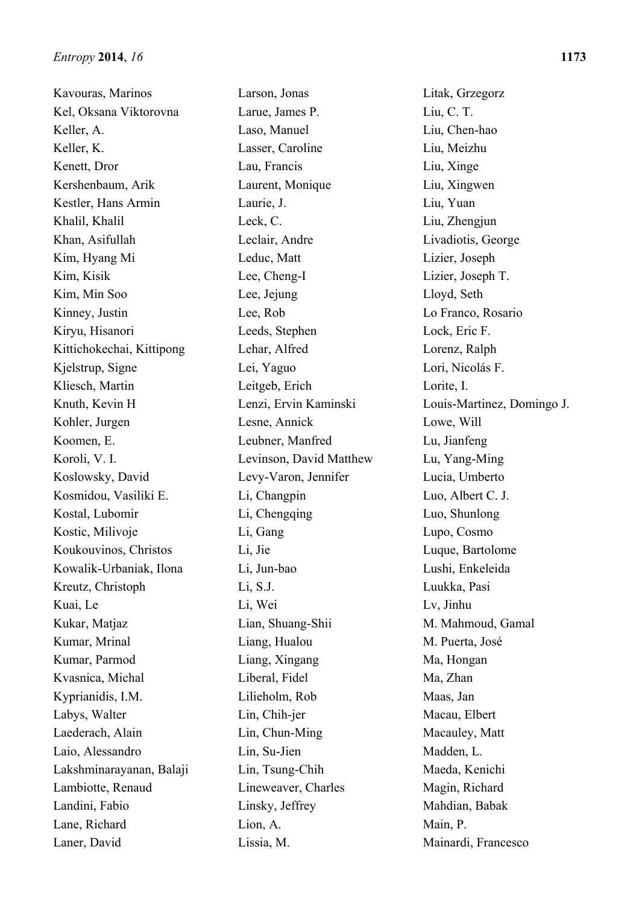Kavouras, Marinos Kel, Oksana Viktorovna Keller, A. Keller, K. Kenett, Dror Kershenbaum, Arik Kestler, Hans Armin Khalil, Khalil Khan, Asifullah Kim, Hyang Mi Kim, Kisik Kim, Min Soo Kinney, Justin Kiryu, Hisanori Kittichokechai, Kittipong Kjelstrup, Signe Kliesch, Martin Knuth, Kevin H Kohler, Jurgen Koomen, E. Koroli, V. I. Koslowsky, David Kosmidou, Vasiliki E. Kostal, Lubomir Kostic, Milivoje Koukouvinos, Christos Kowalik-Urbaniak, Ilona Kreutz, Christoph Kuai, Le Kukar, Matjaz Kumar, Mrinal Kumar, Parmod Kvasnica, Michal Kyprianidis, I.M. Labys, Walter Laederach, Alain Laio, Alessandro Lakshminarayanan, Balaji Lambiotte, Renaud Landini, Fabio Lane, Richard Laner, David

Larson, Jonas Larue, James P. Laso, Manuel Lasser, Caroline Lau, Francis Laurent, Monique Laurie, J. Leck, C. Leclair, Andre Leduc, Matt Lee, Cheng-I Lee, Jejung Lee, Rob Leeds, Stephen Lehar, Alfred Lei, Yaguo Leitgeb, Erich Lenzi, Ervin Kaminski Lesne, Annick Leubner, Manfred Levinson, David Matthew Levy-Varon, Jennifer Li, Changpin Li, Chengqing Li, Gang Li, Jie Li, Jun-bao Li, S.J. Li, Wei Lian, Shuang-Shii Liang, Hualou Liang, Xingang Liberal, Fidel Lilieholm, Rob Lin, Chih-jer Lin, Chun-Ming Lin, Su-Jien Lin, Tsung-Chih Lineweaver, Charles Linsky, Jeffrey Lion, A. Lissia, M.

Litak, Grzegorz Liu, C. T. Liu, Chen-hao Liu, Meizhu Liu, Xinge Liu, Xingwen Liu, Yuan Liu, Zhengjun Livadiotis, George Lizier, Joseph Lizier, Joseph T. Lloyd, Seth Lo Franco, Rosario Lock, Eric F. Lorenz, Ralph Lori, Nicolás F. Lorite, I. Louis-Martinez, Domingo J. Lowe, Will Lu, Jianfeng Lu, Yang-Ming Lucia, Umberto Luo, Albert C. J. Luo, Shunlong Lupo, Cosmo Luque, Bartolome Lushi, Enkeleida Luukka, Pasi Lv, Jinhu M. Mahmoud, Gamal M. Puerta, José Ma, Hongan Ma, Zhan Maas, Jan Macau, Elbert Macauley, Matt Madden, L. Maeda, Kenichi Magin, Richard Mahdian, Babak Main, P. Mainardi, Francesco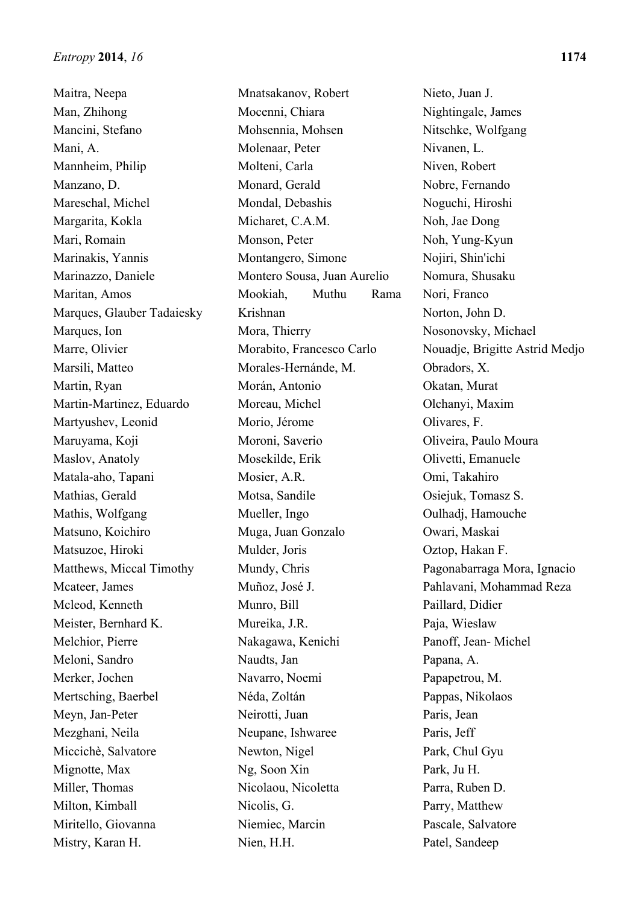Maitra, Neepa Man, Zhihong Mancini, Stefano Mani, A. Mannheim, Philip Manzano, D. Mareschal, Michel Margarita, Kokla Mari, Romain Marinakis, Yannis Marinazzo, Daniele Maritan, Amos Marques, Glauber Tadaiesky Marques, Ion Marre, Olivier Marsili, Matteo Martin, Ryan Martin-Martinez, Eduardo Martyushev, Leonid Maruyama, Koji Maslov, Anatoly Matala-aho, Tapani Mathias, Gerald Mathis, Wolfgang Matsuno, Koichiro Matsuzoe, Hiroki Matthews, Miccal Timothy Mcateer, James Mcleod, Kenneth Meister, Bernhard K. Melchior, Pierre Meloni, Sandro Merker, Jochen Mertsching, Baerbel Meyn, Jan-Peter Mezghani, Neila Miccichè, Salvatore Mignotte, Max Miller, Thomas Milton, Kimball Miritello, Giovanna Mistry, Karan H.

Mnatsakanov, Robert Mocenni, Chiara Mohsennia, Mohsen Molenaar, Peter Molteni, Carla Monard, Gerald Mondal, Debashis Micharet, C.A.M. Monson, Peter Montangero, Simone Montero Sousa, Juan Aurelio Mookiah, Muthu Rama Krishnan Mora, Thierry Morabito, Francesco Carlo Morales-Hernánde, M. Morán, Antonio Moreau, Michel Morio, Jérome Moroni, Saverio Mosekilde, Erik Mosier, A.R. Motsa, Sandile Mueller, Ingo Muga, Juan Gonzalo Mulder, Joris Mundy, Chris Muñoz, José J. Munro, Bill Mureika, J.R. Nakagawa, Kenichi Naudts, Jan Navarro, Noemi Néda, Zoltán Neirotti, Juan Neupane, Ishwaree Newton, Nigel Ng, Soon Xin Nicolaou, Nicoletta Nicolis, G. Niemiec, Marcin Nien, H.H.

Nieto, Juan J. Nightingale, James Nitschke, Wolfgang Nivanen, L. Niven, Robert Nobre, Fernando Noguchi, Hiroshi Noh, Jae Dong Noh, Yung-Kyun Nojiri, Shin'ichi Nomura, Shusaku Nori, Franco Norton, John D. Nosonovsky, Michael Nouadje, Brigitte Astrid Medjo Obradors, X. Okatan, Murat Olchanyi, Maxim Olivares, F. Oliveira, Paulo Moura Olivetti, Emanuele Omi, Takahiro Osiejuk, Tomasz S. Oulhadj, Hamouche Owari, Maskai Oztop, Hakan F. Pagonabarraga Mora, Ignacio Pahlavani, Mohammad Reza Paillard, Didier Paja, Wieslaw Panoff, Jean- Michel Papana, A. Papapetrou, M. Pappas, Nikolaos Paris, Jean Paris, Jeff Park, Chul Gyu Park, Ju H. Parra, Ruben D. Parry, Matthew Pascale, Salvatore Patel, Sandeep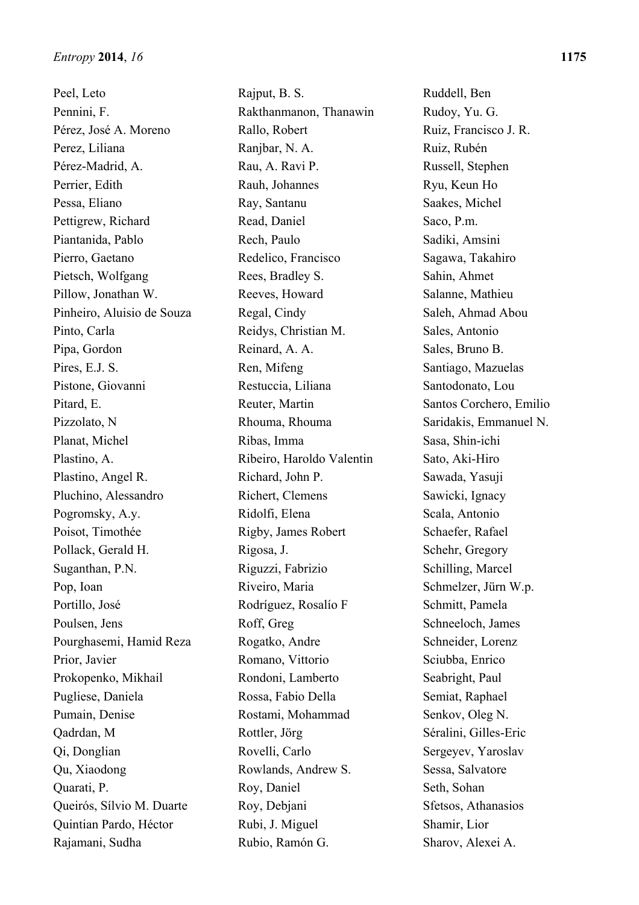Peel, Leto Pennini, F. Pérez, José A. Moreno Perez, Liliana Pérez-Madrid, A. Perrier, Edith Pessa, Eliano Pettigrew, Richard Piantanida, Pablo Pierro, Gaetano Pietsch, Wolfgang Pillow, Jonathan W. Pinheiro, Aluisio de Souza Pinto, Carla Pipa, Gordon Pires, E.J. S. Pistone, Giovanni Pitard, E. Pizzolato, N Planat, Michel Plastino, A. Plastino, Angel R. Pluchino, Alessandro Pogromsky, A.y. Poisot, Timothée Pollack, Gerald H. Suganthan, P.N. Pop, Ioan Portillo, José Poulsen, Jens Pourghasemi, Hamid Reza Prior, Javier Prokopenko, Mikhail Pugliese, Daniela Pumain, Denise Qadrdan, M Qi, Donglian Qu, Xiaodong Quarati, P. Queirós, Sílvio M. Duarte Quintian Pardo, Héctor Rajamani, Sudha

Rajput, B. S. Rakthanmanon, Thanawin Rallo, Robert Ranjbar, N. A. Rau, A. Ravi P. Rauh, Johannes Ray, Santanu Read, Daniel Rech, Paulo Redelico, Francisco Rees, Bradley S. Reeves, Howard Regal, Cindy Reidys, Christian M. Reinard, A. A. Ren, Mifeng Restuccia, Liliana Reuter, Martin Rhouma, Rhouma Ribas, Imma Ribeiro, Haroldo Valentin Richard, John P. Richert, Clemens Ridolfi, Elena Rigby, James Robert Rigosa, J. Riguzzi, Fabrizio Riveiro, Maria Rodríguez, Rosalío F Roff, Greg Rogatko, Andre Romano, Vittorio Rondoni, Lamberto Rossa, Fabio Della Rostami, Mohammad Rottler, Jörg Rovelli, Carlo Rowlands, Andrew S. Roy, Daniel Roy, Debjani Rubi, J. Miguel Rubio, Ramón G.

Ruddell, Ben Rudoy, Yu. G. Ruiz, Francisco J. R. Ruiz, Rubén Russell, Stephen Ryu, Keun Ho Saakes, Michel Saco, P.m. Sadiki, Amsini Sagawa, Takahiro Sahin, Ahmet Salanne, Mathieu Saleh, Ahmad Abou Sales, Antonio Sales, Bruno B. Santiago, Mazuelas Santodonato, Lou Santos Corchero, Emilio Saridakis, Emmanuel N. Sasa, Shin-ichi Sato, Aki-Hiro Sawada, Yasuji Sawicki, Ignacy Scala, Antonio Schaefer, Rafael Schehr, Gregory Schilling, Marcel Schmelzer, Jürn W.p. Schmitt, Pamela Schneeloch, James Schneider, Lorenz Sciubba, Enrico Seabright, Paul Semiat, Raphael Senkov, Oleg N. Séralini, Gilles-Eric Sergeyev, Yaroslav Sessa, Salvatore Seth, Sohan Sfetsos, Athanasios Shamir, Lior Sharov, Alexei A.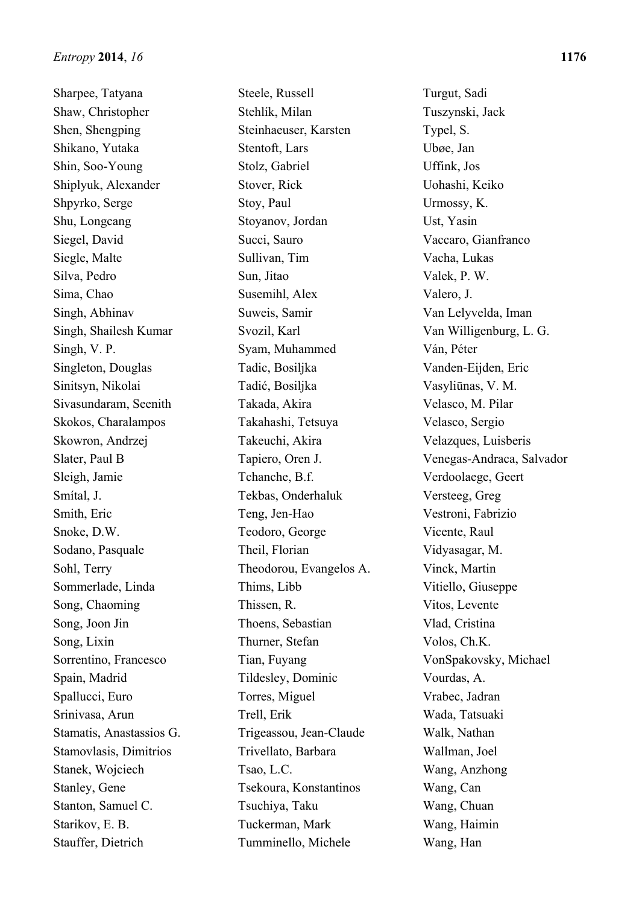Sharpee, Tatyana Shaw, Christopher Shen, Shengping Shikano, Yutaka Shin, Soo-Young Shiplyuk, Alexander Shpyrko, Serge Shu, Longcang Siegel, David Siegle, Malte Silva, Pedro Sima, Chao Singh, Abhinav Singh, Shailesh Kumar Singh, V. P. Singleton, Douglas Sinitsyn, Nikolai Sivasundaram, Seenith Skokos, Charalampos Skowron, Andrzej Slater, Paul B Sleigh, Jamie Smítal, J. Smith, Eric Snoke, D.W. Sodano, Pasquale Sohl, Terry Sommerlade, Linda Song, Chaoming Song, Joon Jin Song, Lixin Sorrentino, Francesco Spain, Madrid Spallucci, Euro Srinivasa, Arun Stamatis, Anastassios G. Stamovlasis, Dimitrios Stanek, Wojciech Stanley, Gene Stanton, Samuel C. Starikov, E. B. Stauffer, Dietrich

Steele, Russell Stehlík, Milan Steinhaeuser, Karsten Stentoft, Lars Stolz, Gabriel Stover, Rick Stoy, Paul Stoyanov, Jordan Succi, Sauro Sullivan, Tim Sun, Jitao Susemihl, Alex Suweis, Samir Svozil, Karl Syam, Muhammed Tadic, Bosiljka Tadić, Bosiljka Takada, Akira Takahashi, Tetsuya Takeuchi, Akira Tapiero, Oren J. Tchanche, B.f. Tekbas, Onderhaluk Teng, Jen-Hao Teodoro, George Theil, Florian Theodorou, Evangelos A. Thims, Libb Thissen, R. Thoens, Sebastian Thurner, Stefan Tian, Fuyang Tildesley, Dominic Torres, Miguel Trell, Erik Trigeassou, Jean-Claude Trivellato, Barbara Tsao, L.C. Tsekoura, Konstantinos Tsuchiya, Taku Tuckerman, Mark Tumminello, Michele

Turgut, Sadi Tuszynski, Jack Typel, S. Ubøe, Jan Uffink, Jos Uohashi, Keiko Urmossy, K. Ust, Yasin Vaccaro, Gianfranco Vacha, Lukas Valek, P. W. Valero, J. Van Lelyvelda, Iman Van Willigenburg, L. G. Ván, Péter Vanden-Eijden, Eric Vasyliūnas, V. M. Velasco, M. Pilar Velasco, Sergio Velazques, Luisberis Venegas-Andraca, Salvador Verdoolaege, Geert Versteeg, Greg Vestroni, Fabrizio Vicente, Raul Vidyasagar, M. Vinck, Martin Vitiello, Giuseppe Vitos, Levente Vlad, Cristina Volos, Ch.K. VonSpakovsky, Michael Vourdas, A. Vrabec, Jadran Wada, Tatsuaki Walk, Nathan Wallman, Joel Wang, Anzhong Wang, Can Wang, Chuan Wang, Haimin Wang, Han